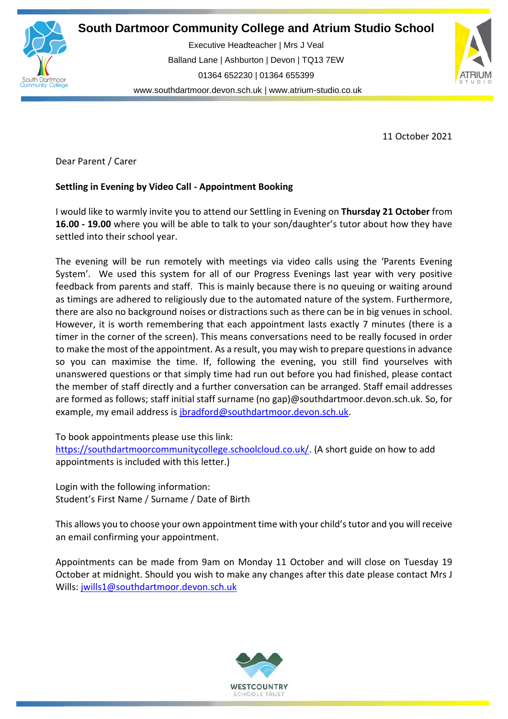

**South Dartmoor Community College and Atrium Studio School** 

**So** Balland Lane | Ashburton | Devon | TQ13 7EW Executive Headteacher | Mrs J Veal 01364 652230 | 01364 655399 [www.southdartmoor.devon.sch.uk](http://www.southdartmoor.devon.sch.uk/) | [www.atrium-studio.co.uk](http://www.atrium-studio.co.uk/)



11 October 2021

Dear Parent / Carer

# **Settling in Evening by Video Call - Appointment Booking**

I would like to warmly invite you to attend our Settling in Evening on **Thursday 21 October** from **16.00 - 19.00** where you will be able to talk to your son/daughter's tutor about how they have settled into their school year.

The evening will be run remotely with meetings via video calls using the 'Parents Evening System'. We used this system for all of our Progress Evenings last year with very positive feedback from parents and staff. This is mainly because there is no queuing or waiting around as timings are adhered to religiously due to the automated nature of the system. Furthermore, there are also no background noises or distractions such as there can be in big venues in school. However, it is worth remembering that each appointment lasts exactly 7 minutes (there is a timer in the corner of the screen). This means conversations need to be really focused in order to make the most of the appointment. As a result, you may wish to prepare questionsin advance so you can maximise the time. If, following the evening, you still find yourselves with unanswered questions or that simply time had run out before you had finished, please contact the member of staff directly and a further conversation can be arranged. Staff email addresses are formed as follows; staff initial staff surname (no gap)@southdartmoor.devon.sch.uk. So, for example, my email address is [jbradford@southdartmoor.devon.sch.uk.](mailto:jbradford@southdartmoor.devon.sch.uk)

To book appointments please use this link:

[https://southdartmoorcommunitycollege.schoolcloud.co.uk/.](https://southdartmoorcommunitycollege.schoolcloud.co.uk/) (A short guide on how to add appointments is included with this letter.)

Login with the following information: Student's First Name / Surname / Date of Birth

This allows you to choose your own appointment time with your child'stutor and you will receive an email confirming your appointment.

Appointments can be made from 9am on Monday 11 October and will close on Tuesday 19 October at midnight. Should you wish to make any changes after this date please contact Mrs J Wills: [jwills1@southdartmoor.devon.sch.uk](mailto:jwills1@southdartmoor.devon.sch.uk)